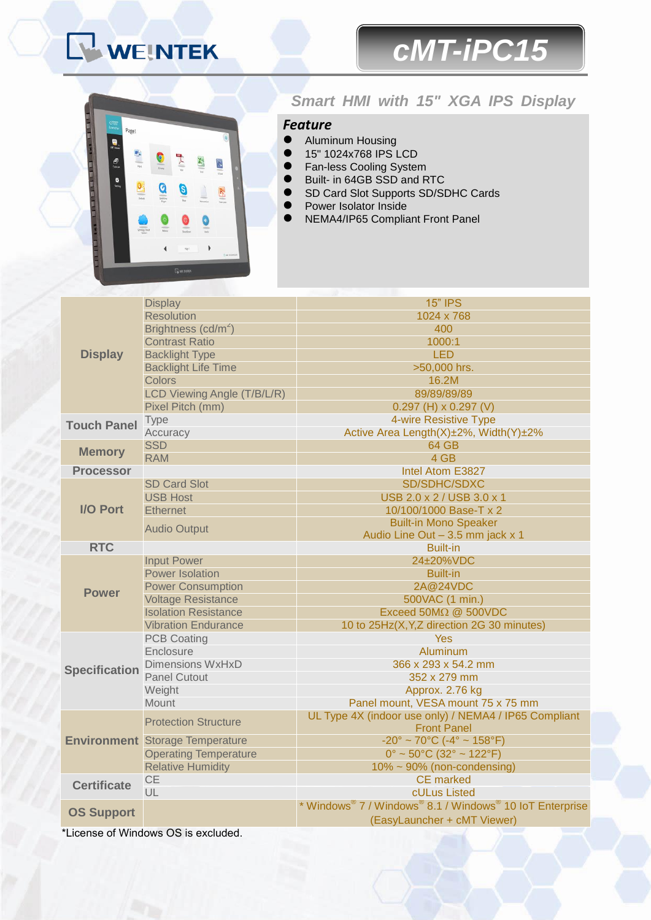# WEINTEK

# *cMT-iPC15*



## *Smart HMI with 15" XGA IPS Display*

### *Feature*

- **•** Aluminum Housing
- 15" 1024x768 IPS LCD<br>● Fan-less Cooling System
- **The Fan-less Cooling System**<br>**C** Built, in 64GB SSD and B
- Built- in 64GB SSD and RTC
- SD Card Slot Supports SD/SDHC Cards
	- Power Isolator Inside
	- NEMA4/IP65 Compliant Front Panel

| <b>Display</b>       | <b>Display</b>                         | <b>15" IPS</b>                                                   |  |
|----------------------|----------------------------------------|------------------------------------------------------------------|--|
|                      | <b>Resolution</b>                      | 1024 x 768                                                       |  |
|                      | Brightness (cd/m <sup>2</sup> )        | 400                                                              |  |
|                      | <b>Contrast Ratio</b>                  | 1000:1                                                           |  |
|                      | <b>Backlight Type</b>                  | <b>LED</b>                                                       |  |
|                      | <b>Backlight Life Time</b>             | >50,000 hrs.                                                     |  |
|                      | <b>Colors</b>                          | 16.2M                                                            |  |
|                      | LCD Viewing Angle (T/B/L/R)            | 89/89/89/89                                                      |  |
|                      | Pixel Pitch (mm)                       | $0.297$ (H) x $0.297$ (V)                                        |  |
| <b>Touch Panel</b>   | <b>Type</b>                            | 4-wire Resistive Type                                            |  |
|                      | Accuracy                               | Active Area Length(X)±2%, Width(Y)±2%                            |  |
|                      | <b>SSD</b>                             | <b>64 GB</b>                                                     |  |
| <b>Memory</b>        | <b>RAM</b>                             | 4 GB                                                             |  |
| <b>Processor</b>     |                                        | Intel Atom E3827                                                 |  |
| <b>I/O Port</b>      | <b>SD Card Slot</b>                    | SD/SDHC/SDXC                                                     |  |
|                      | <b>USB Host</b>                        | USB 2.0 x 2 / USB 3.0 x 1                                        |  |
|                      | <b>Ethernet</b>                        | 10/100/1000 Base-T x 2                                           |  |
|                      | <b>Audio Output</b>                    | <b>Built-in Mono Speaker</b>                                     |  |
|                      |                                        | Audio Line Out - 3.5 mm jack x 1                                 |  |
| <b>RTC</b>           |                                        | <b>Built-in</b>                                                  |  |
|                      | <b>Input Power</b>                     | 24±20%VDC                                                        |  |
| <b>Power</b>         | <b>Power Isolation</b>                 | <b>Built-in</b>                                                  |  |
|                      | <b>Power Consumption</b>               | 2A@24VDC                                                         |  |
|                      | <b>Voltage Resistance</b>              | 500VAC (1 min.)                                                  |  |
|                      | <b>Isolation Resistance</b>            | Exceed 50MΩ @ 500VDC                                             |  |
|                      | <b>Vibration Endurance</b>             | 10 to 25Hz(X, Y, Z direction 2G 30 minutes)                      |  |
|                      | <b>PCB Coating</b>                     | <b>Yes</b>                                                       |  |
|                      | Enclosure                              | Aluminum                                                         |  |
| <b>Specification</b> | <b>Dimensions WxHxD</b>                | 366 x 293 x 54.2 mm                                              |  |
|                      | <b>Panel Cutout</b>                    | 352 x 279 mm                                                     |  |
|                      | Weight                                 | Approx. 2.76 kg                                                  |  |
|                      | Mount                                  | Panel mount, VESA mount 75 x 75 mm                               |  |
|                      | <b>Protection Structure</b>            | UL Type 4X (indoor use only) / NEMA4 / IP65 Compliant            |  |
|                      |                                        | <b>Front Panel</b>                                               |  |
|                      | <b>Environment</b> Storage Temperature | $-20^{\circ} \sim 70^{\circ}$ C (-4° ~ 158°F)                    |  |
|                      | <b>Operating Temperature</b>           | $0^{\circ}$ ~ 50 $^{\circ}$ C (32 $^{\circ}$ ~ 122 $^{\circ}$ F) |  |
|                      | <b>Relative Humidity</b>               | $10\% \sim 90\%$ (non-condensing)                                |  |
| <b>Certificate</b>   | <b>CE</b>                              | <b>CE</b> marked                                                 |  |
|                      | UL                                     | cULus Listed                                                     |  |
| <b>OS Support</b>    |                                        | * Windows® 7 / Windows® 8.1 / Windows® 10 IoT Enterprise         |  |
|                      |                                        | (EasyLauncher + cMT Viewer)                                      |  |

\*License of Windows OS is excluded.